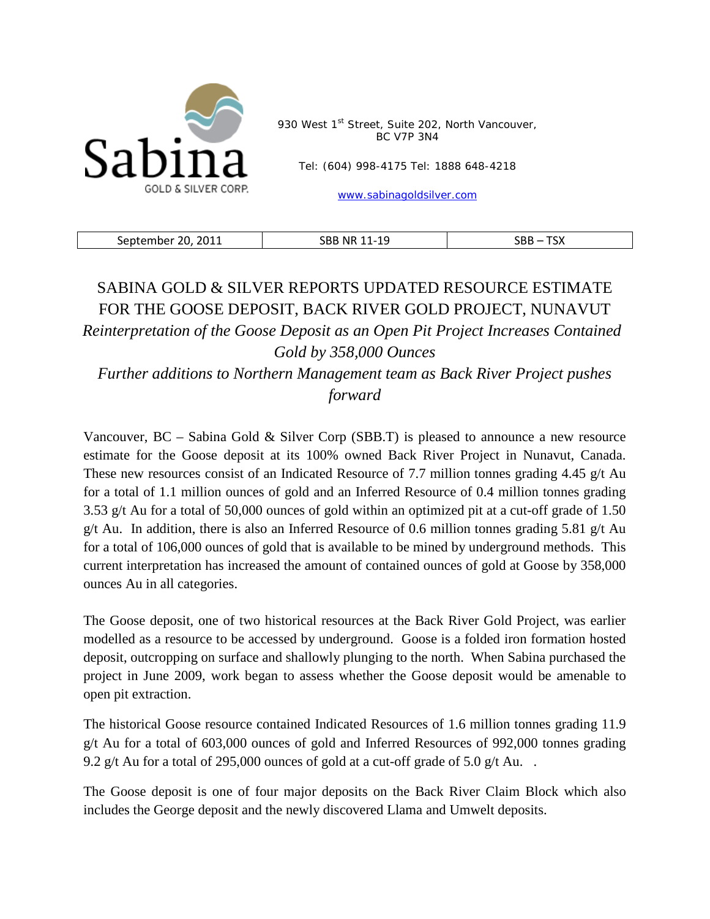

930 West 1<sup>st</sup> Street, Suite 202, North Vancouver, BC V7P 3N4

Tel: (604) 998-4175 Tel: 1888 648-4218

[www.sabinagoldsilver.com](http://www.sabinagoldsilver.com/)

| 2011<br>sept<br>- - - - - - -<br> | 10<br>`RF<br>л л<br>ΝR<br>. .<br>ーー<br>-- | ח ח<br>OBB<br>∧د ∵ |
|-----------------------------------|-------------------------------------------|--------------------|
|                                   |                                           |                    |

# SABINA GOLD & SILVER REPORTS UPDATED RESOURCE ESTIMATE FOR THE GOOSE DEPOSIT, BACK RIVER GOLD PROJECT, NUNAVUT *Reinterpretation of the Goose Deposit as an Open Pit Project Increases Contained Gold by 358,000 Ounces*

*Further additions to Northern Management team as Back River Project pushes forward*

Vancouver, BC – Sabina Gold & Silver Corp (SBB.T) is pleased to announce a new resource estimate for the Goose deposit at its 100% owned Back River Project in Nunavut, Canada. These new resources consist of an Indicated Resource of 7.7 million tonnes grading 4.45 g/t Au for a total of 1.1 million ounces of gold and an Inferred Resource of 0.4 million tonnes grading 3.53 g/t Au for a total of 50,000 ounces of gold within an optimized pit at a cut-off grade of 1.50 g/t Au. In addition, there is also an Inferred Resource of 0.6 million tonnes grading 5.81 g/t Au for a total of 106,000 ounces of gold that is available to be mined by underground methods. This current interpretation has increased the amount of contained ounces of gold at Goose by 358,000 ounces Au in all categories.

The Goose deposit, one of two historical resources at the Back River Gold Project, was earlier modelled as a resource to be accessed by underground. Goose is a folded iron formation hosted deposit, outcropping on surface and shallowly plunging to the north. When Sabina purchased the project in June 2009, work began to assess whether the Goose deposit would be amenable to open pit extraction.

The historical Goose resource contained Indicated Resources of 1.6 million tonnes grading 11.9 g/t Au for a total of 603,000 ounces of gold and Inferred Resources of 992,000 tonnes grading 9.2 g/t Au for a total of 295,000 ounces of gold at a cut-off grade of 5.0 g/t Au. .

The Goose deposit is one of four major deposits on the Back River Claim Block which also includes the George deposit and the newly discovered Llama and Umwelt deposits.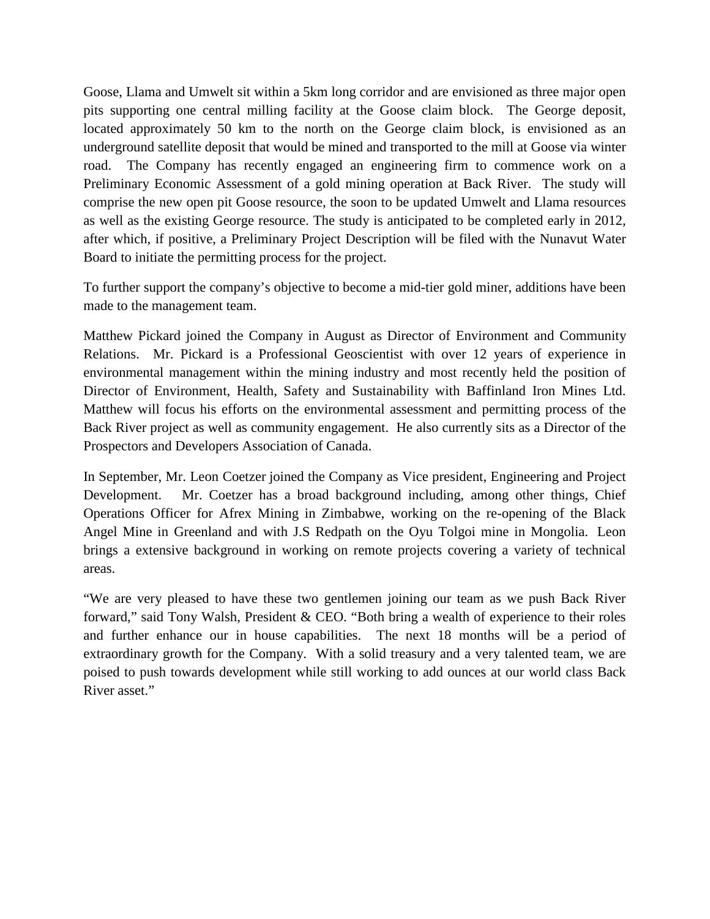Goose, Llama and Umwelt sit within a 5km long corridor and are envisioned as three major open pits supporting one central milling facility at the Goose claim block. The George deposit, located approximately 50 km to the north on the George claim block, is envisioned as an underground satellite deposit that would be mined and transported to the mill at Goose via winter road. The Company has recently engaged an engineering firm to commence work on a Preliminary Economic Assessment of a gold mining operation at Back River. The study will comprise the new open pit Goose resource, the soon to be updated Umwelt and Llama resources as well as the existing George resource. The study is anticipated to be completed early in 2012, after which, if positive, a Preliminary Project Description will be filed with the Nunavut Water Board to initiate the permitting process for the project.

To further support the company's objective to become a mid-tier gold miner, additions have been made to the management team.

Matthew Pickard joined the Company in August as Director of Environment and Community Relations. Mr. Pickard is a Professional Geoscientist with over 12 years of experience in environmental management within the mining industry and most recently held the position of Director of Environment, Health, Safety and Sustainability with Baffinland Iron Mines Ltd. Matthew will focus his efforts on the environmental assessment and permitting process of the Back River project as well as community engagement. He also currently sits as a Director of the Prospectors and Developers Association of Canada.

In September, Mr. Leon Coetzer joined the Company as Vice president, Engineering and Project Development. Mr. Coetzer has a broad background including, among other things, Chief Operations Officer for Afrex Mining in Zimbabwe, working on the re-opening of the Black Angel Mine in Greenland and with J.S Redpath on the Oyu Tolgoi mine in Mongolia. Leon brings a extensive background in working on remote projects covering a variety of technical areas.

"We are very pleased to have these two gentlemen joining our team as we push Back River forward," said Tony Walsh, President & CEO. "Both bring a wealth of experience to their roles and further enhance our in house capabilities. The next 18 months will be a period of extraordinary growth for the Company. With a solid treasury and a very talented team, we are poised to push towards development while still working to add ounces at our world class Back River asset."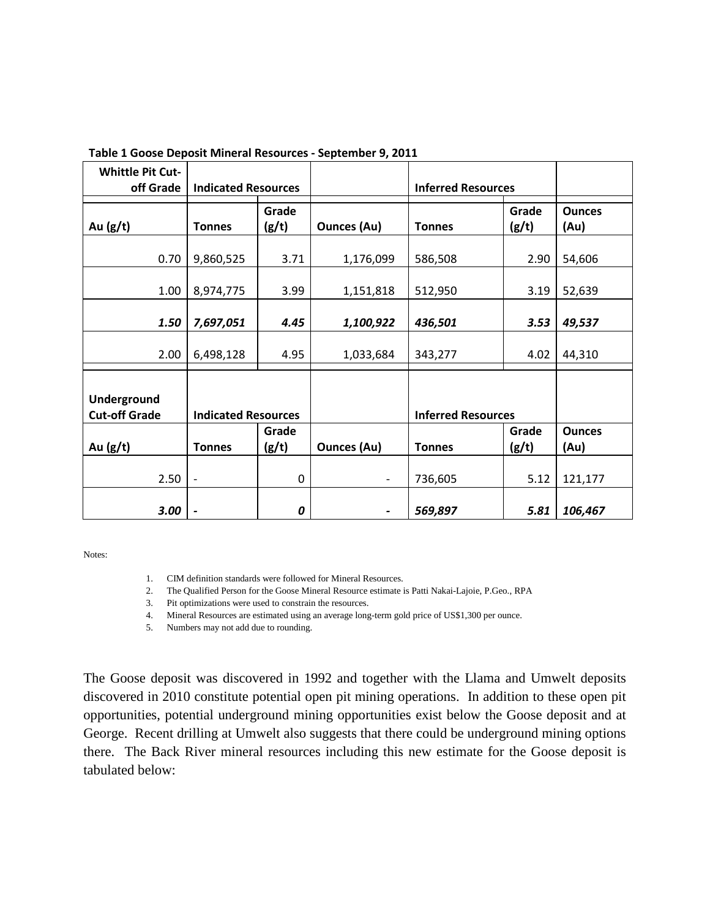| <b>Whittle Pit Cut-</b><br>off Grade | <b>Indicated Resources</b> |                |                          | <b>Inferred Resources</b> |                |                       |
|--------------------------------------|----------------------------|----------------|--------------------------|---------------------------|----------------|-----------------------|
| Au $(g/t)$                           | <b>Tonnes</b>              | Grade<br>(g/t) | <b>Ounces (Au)</b>       | <b>Tonnes</b>             | Grade<br>(g/t) | <b>Ounces</b><br>(Au) |
| 0.70                                 | 9,860,525                  | 3.71           | 1,176,099                | 586,508                   | 2.90           | 54,606                |
| 1.00                                 | 8,974,775                  | 3.99           | 1,151,818                | 512,950                   | 3.19           | 52,639                |
| 1.50                                 | 7,697,051                  | 4.45           | 1,100,922                | 436,501                   | 3.53           | 49,537                |
| 2.00                                 | 6,498,128                  | 4.95           | 1,033,684                | 343,277                   | 4.02           | 44,310                |
|                                      |                            |                |                          |                           |                |                       |
| Underground<br><b>Cut-off Grade</b>  | <b>Indicated Resources</b> |                |                          | <b>Inferred Resources</b> |                |                       |
| Au $(g/t)$                           | <b>Tonnes</b>              | Grade<br>(g/t) | <b>Ounces (Au)</b>       | <b>Tonnes</b>             | Grade<br>(g/t) | <b>Ounces</b><br>(Au) |
| 2.50                                 | $\overline{\phantom{a}}$   | 0              | $\overline{\phantom{a}}$ | 736,605                   | 5.12           | 121,177               |
| 3.00                                 |                            | 0              |                          | 569,897                   | 5.81           | 106,467               |

**Table 1 Goose Deposit Mineral Resources - September 9, 2011**

Notes:

- 1. CIM definition standards were followed for Mineral Resources.
- 2. The Qualified Person for the Goose Mineral Resource estimate is Patti Nakai-Lajoie, P.Geo., RPA
- 3. Pit optimizations were used to constrain the resources.
- 4. Mineral Resources are estimated using an average long-term gold price of US\$1,300 per ounce.
- 5. Numbers may not add due to rounding.

The Goose deposit was discovered in 1992 and together with the Llama and Umwelt deposits discovered in 2010 constitute potential open pit mining operations. In addition to these open pit opportunities, potential underground mining opportunities exist below the Goose deposit and at George. Recent drilling at Umwelt also suggests that there could be underground mining options there. The Back River mineral resources including this new estimate for the Goose deposit is tabulated below: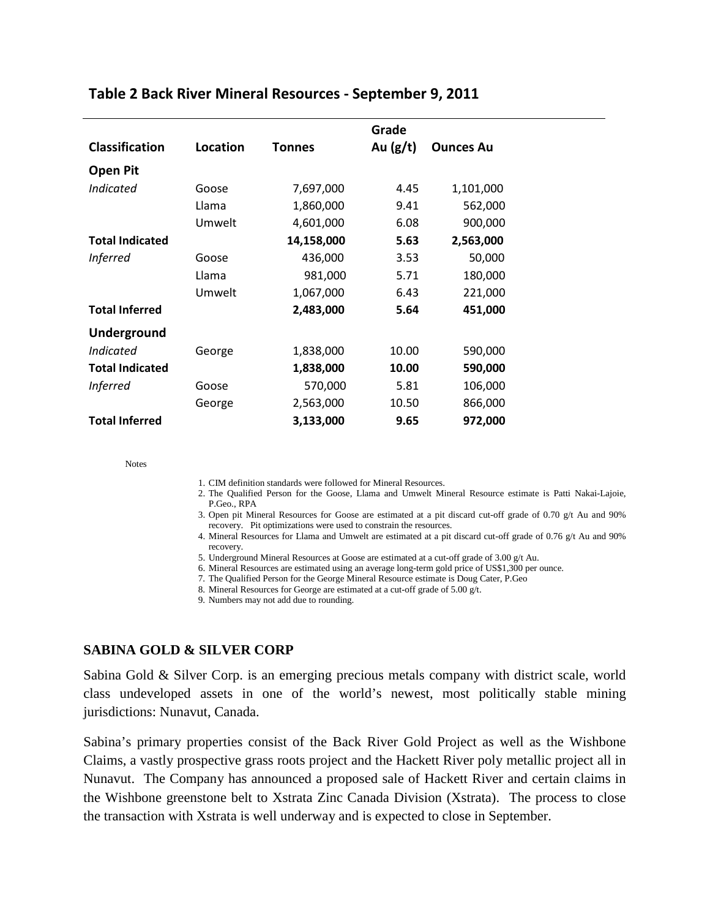|                        |                 |               | Grade      |                  |
|------------------------|-----------------|---------------|------------|------------------|
| <b>Classification</b>  | <b>Location</b> | <b>Tonnes</b> | Au $(g/t)$ | <b>Ounces Au</b> |
| <b>Open Pit</b>        |                 |               |            |                  |
| <b>Indicated</b>       | Goose           | 7,697,000     | 4.45       | 1,101,000        |
|                        | Llama           | 1,860,000     | 9.41       | 562,000          |
|                        | Umwelt          | 4,601,000     | 6.08       | 900,000          |
| <b>Total Indicated</b> |                 | 14,158,000    | 5.63       | 2,563,000        |
| <b>Inferred</b>        | Goose           | 436,000       | 3.53       | 50,000           |
|                        | Llama           | 981,000       | 5.71       | 180,000          |
|                        | Umwelt          | 1,067,000     | 6.43       | 221,000          |
| <b>Total Inferred</b>  |                 | 2,483,000     | 5.64       | 451,000          |
| Underground            |                 |               |            |                  |
| <b>Indicated</b>       | George          | 1,838,000     | 10.00      | 590,000          |
| <b>Total Indicated</b> |                 | 1,838,000     | 10.00      | 590,000          |
| <b>Inferred</b>        | Goose           | 570,000       | 5.81       | 106,000          |
|                        | George          | 2,563,000     | 10.50      | 866,000          |
| <b>Total Inferred</b>  |                 | 3,133,000     | 9.65       | 972,000          |

# **Table 2 Back River Mineral Resources - September 9, 2011**

Notes

- 1. CIM definition standards were followed for Mineral Resources.
- 2. The Qualified Person for the Goose, Llama and Umwelt Mineral Resource estimate is Patti Nakai-Lajoie, P.Geo., RPA
- 3. Open pit Mineral Resources for Goose are estimated at a pit discard cut-off grade of 0.70 g/t Au and 90% recovery. Pit optimizations were used to constrain the resources.
- 4. Mineral Resources for Llama and Umwelt are estimated at a pit discard cut-off grade of 0.76 g/t Au and 90% recovery.
- 5. Underground Mineral Resources at Goose are estimated at a cut-off grade of 3.00 g/t Au.
- 6. Mineral Resources are estimated using an average long-term gold price of US\$1,300 per ounce.
- 7. The Qualified Person for the George Mineral Resource estimate is Doug Cater, P.Geo
- 8. Mineral Resources for George are estimated at a cut-off grade of 5.00 g/t.
- 9. Numbers may not add due to rounding.

#### **SABINA GOLD & SILVER CORP**

Sabina Gold & Silver Corp. is an emerging precious metals company with district scale, world class undeveloped assets in one of the world's newest, most politically stable mining jurisdictions: Nunavut, Canada.

Sabina's primary properties consist of the Back River Gold Project as well as the Wishbone Claims, a vastly prospective grass roots project and the Hackett River poly metallic project all in Nunavut. The Company has announced a proposed sale of Hackett River and certain claims in the Wishbone greenstone belt to Xstrata Zinc Canada Division (Xstrata). The process to close the transaction with Xstrata is well underway and is expected to close in September.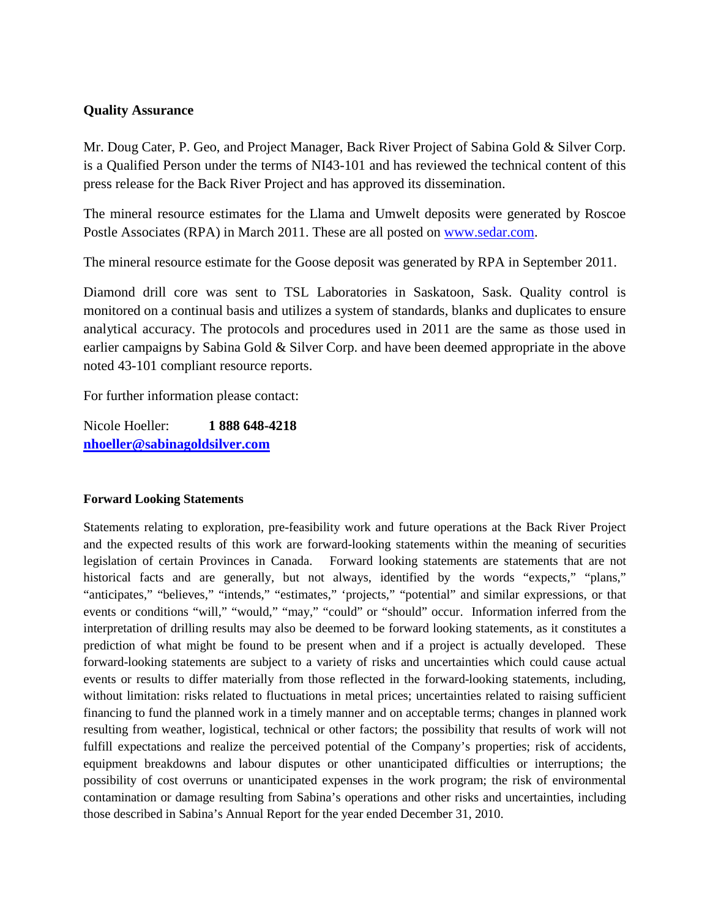## **Quality Assurance**

Mr. Doug Cater, P. Geo, and Project Manager, Back River Project of Sabina Gold & Silver Corp. is a Qualified Person under the terms of NI43-101 and has reviewed the technical content of this press release for the Back River Project and has approved its dissemination.

The mineral resource estimates for the Llama and Umwelt deposits were generated by Roscoe Postle Associates (RPA) in March 2011. These are all posted on [www.sedar.com.](http://www.sedar.com/)

The mineral resource estimate for the Goose deposit was generated by RPA in September 2011.

Diamond drill core was sent to TSL Laboratories in Saskatoon, Sask. Quality control is monitored on a continual basis and utilizes a system of standards, blanks and duplicates to ensure analytical accuracy. The protocols and procedures used in 2011 are the same as those used in earlier campaigns by Sabina Gold & Silver Corp. and have been deemed appropriate in the above noted 43-101 compliant resource reports.

For further information please contact:

Nicole Hoeller: **1 888 648-4218 [nhoeller@sabinagoldsilver.com](mailto:nhoeller@sabinagoldsilver.com)**

## **Forward Looking Statements**

Statements relating to exploration, pre-feasibility work and future operations at the Back River Project and the expected results of this work are forward-looking statements within the meaning of securities legislation of certain Provinces in Canada. Forward looking statements are statements that are not historical facts and are generally, but not always, identified by the words "expects," "plans," "anticipates," "believes," "intends," "estimates," 'projects," "potential" and similar expressions, or that events or conditions "will," "would," "may," "could" or "should" occur. Information inferred from the interpretation of drilling results may also be deemed to be forward looking statements, as it constitutes a prediction of what might be found to be present when and if a project is actually developed. These forward-looking statements are subject to a variety of risks and uncertainties which could cause actual events or results to differ materially from those reflected in the forward-looking statements, including, without limitation: risks related to fluctuations in metal prices; uncertainties related to raising sufficient financing to fund the planned work in a timely manner and on acceptable terms; changes in planned work resulting from weather, logistical, technical or other factors; the possibility that results of work will not fulfill expectations and realize the perceived potential of the Company's properties; risk of accidents, equipment breakdowns and labour disputes or other unanticipated difficulties or interruptions; the possibility of cost overruns or unanticipated expenses in the work program; the risk of environmental contamination or damage resulting from Sabina's operations and other risks and uncertainties, including those described in Sabina's Annual Report for the year ended December 31, 2010.